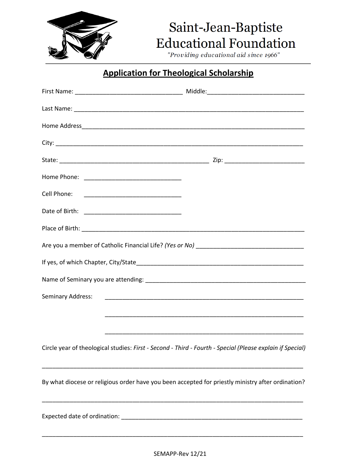

## Saint-Jean-Baptiste **Educational Foundation**

"Providing educational aid since 1966"

### **Application for Theological Scholarship**

| Cell Phone: <u>_________________________________</u>                                                      |  |
|-----------------------------------------------------------------------------------------------------------|--|
|                                                                                                           |  |
|                                                                                                           |  |
|                                                                                                           |  |
|                                                                                                           |  |
|                                                                                                           |  |
| Seminary Address:                                                                                         |  |
|                                                                                                           |  |
|                                                                                                           |  |
| Circle year of theological studies: First - Second - Third - Fourth - Special (Please explain if Special) |  |
| By what diocese or religious order have you been accepted for priestly ministry after ordination?         |  |
|                                                                                                           |  |
|                                                                                                           |  |